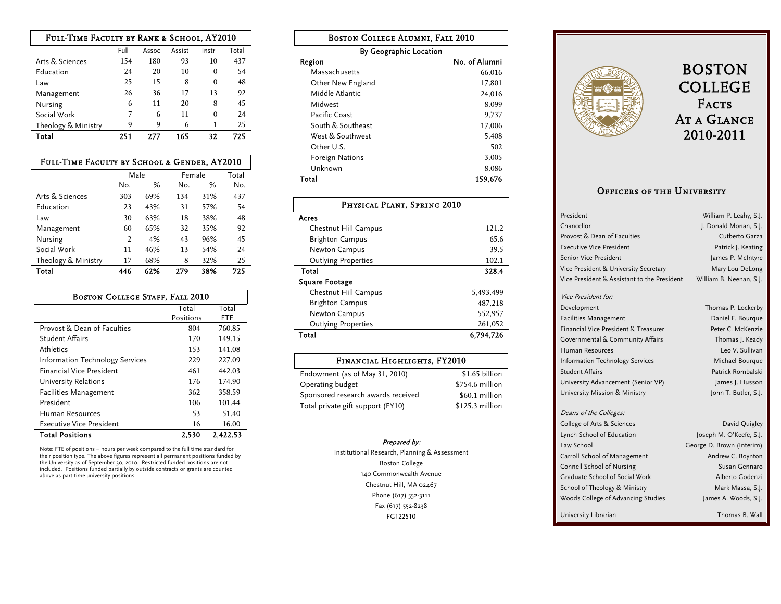| FULL-TIME FACULTY BY RANK & SCHOOL, AY2010 |      |       |        |          |       |
|--------------------------------------------|------|-------|--------|----------|-------|
|                                            | Full | Assoc | Assist | Instr    | Total |
| Arts & Sciences                            | 154  | 180   | 93     | 10       | 437   |
| Education                                  | 24   | 20    | 10     | $\Omega$ | 54    |
| Law                                        | 25   | 15    | 8      | $\Omega$ | 48    |
| Management                                 | 26   | 36    | 17     | 13       | 92    |
| Nursing                                    | 6    | 11    | 20     | 8        | 45    |
| Social Work                                | 7    | 6     | 11     | $\Omega$ | 24    |
| Theology & Ministry                        | 9    | q     | 6      | 1        | 25    |
| Total                                      | 251  |       | 165    | 32       | 725   |

| FULL-TIME FACULTY BY SCHOOL & GENDER, AY2010 |      |     |        |     |       |
|----------------------------------------------|------|-----|--------|-----|-------|
|                                              | Male |     | Female |     | Total |
|                                              | No.  | %   | No.    | ℅   | No.   |
| Arts & Sciences                              | 303  | 69% | 134    | 31% | 437   |
| Education                                    | 23   | 43% | 31     | 57% | 54    |
| Law                                          | 30   | 63% | 18     | 38% | 48    |
| Management                                   | 60   | 65% | 32     | 35% | 92    |
| Nursing                                      | 2    | 4%  | 43     | 96% | 45    |
| Social Work                                  | 11   | 46% | 13     | 54% | 24    |
| Theology & Ministry                          | 17   | 68% | 8      | 32% | 25    |
| Total                                        | 446  | 62% | 279    | 38% | 725   |

| <b>BOSTON COLLEGE STAFF, FALL 2010</b>      |           |        |  |  |
|---------------------------------------------|-----------|--------|--|--|
|                                             | Total     | Total  |  |  |
|                                             | Positions | FTE    |  |  |
| Provost & Dean of Faculties                 | 804       | 760.85 |  |  |
| Student Affairs                             | 170       | 149.15 |  |  |
| Athletics                                   | 153       | 141.08 |  |  |
| <b>Information Technology Services</b>      | 229       | 227.09 |  |  |
| <b>Financial Vice President</b>             | 461       | 442.03 |  |  |
| University Relations                        | 176       | 174.90 |  |  |
| <b>Facilities Management</b>                | 362       | 358.59 |  |  |
| President                                   | 106       | 101.44 |  |  |
| Human Resources                             | 53        | 51.40  |  |  |
| Executive Vice President                    | 16        | 16.00  |  |  |
| <b>Total Positions</b><br>2.530<br>2,422.53 |           |        |  |  |

Note: FTE of positions = hours per week compared to the full time standard for<br>their position type. The above figures represent all permanent positions funded by<br>the University as of September 30, 2010. Restricted funded p

| <b>BOSTON COLLEGE ALUMNI, FALL 2010</b> |               |  |  |
|-----------------------------------------|---------------|--|--|
| By Geographic Location                  |               |  |  |
| Region                                  | No. of Alumni |  |  |
| Massachusetts                           | 66,016        |  |  |
| Other New England                       | 17,801        |  |  |
| Middle Atlantic                         | 24.016        |  |  |
| Midwest                                 | 8,099         |  |  |
| Pacific Coast                           | 9.737         |  |  |
| South & Southeast                       | 17,006        |  |  |
| West & Southwest                        | 5,408         |  |  |
| Other U.S.                              | 502           |  |  |
| Foreign Nations                         | 3,005         |  |  |
| Unknown                                 | 8,086         |  |  |
| 159,676<br>Total                        |               |  |  |

| PHYSICAL PLANT, SPRING 2010 |           |  |
|-----------------------------|-----------|--|
| Acres                       |           |  |
| Chestnut Hill Campus        | 121.2     |  |
| <b>Brighton Campus</b>      | 65.6      |  |
| Newton Campus               | 39.5      |  |
| <b>Outlying Properties</b>  | 102.1     |  |
| Total                       | 328.4     |  |
| <b>Square Footage</b>       |           |  |
| Chestnut Hill Campus        | 5.493.499 |  |
| <b>Brighton Campus</b>      | 487.218   |  |
| Newton Campus               | 552,957   |  |
| <b>Outlying Properties</b>  | 261,052   |  |
| Total                       | 6.794.726 |  |

| FINANCIAL HIGHLIGHTS, FY2010       |                  |  |  |  |
|------------------------------------|------------------|--|--|--|
| Endowment (as of May 31, 2010)     | \$1.65 billion   |  |  |  |
| Operating budget                   | \$754.6 million  |  |  |  |
| Sponsored research awards received | \$60.1 million   |  |  |  |
| Total private gift support (FY10)  | $$125.3$ million |  |  |  |

## Prepared by:

Institutional Research, Planning & Assessment Boston College 140 Commonwealth Avenue Chestnut Hill, MA 02467 Phone (617) 552-3111 Fax (617) 552-8238 FG122510



## BOSTON COLLEGE  ${\tt FACS}$ At a Glance 2010-2011

## Officers of the University

| President                                   | William P. Leahy, S.J.    |
|---------------------------------------------|---------------------------|
| Chancellor                                  | J. Donald Monan, S.J.     |
| Provost & Dean of Faculties                 | Cutberto Garza            |
| <b>Executive Vice President</b>             | Patrick J. Keating        |
| Senior Vice President                       | James P. McIntyre         |
| Vice President & University Secretary       | Mary Lou DeLong           |
| Vice President & Assistant to the President | William B. Neenan, S.J.   |
| Vice President for:                         |                           |
| Development                                 | Thomas P. Lockerby        |
| <b>Facilities Management</b>                | Daniel F. Bourque         |
| Financial Vice President & Treasurer        | Peter C. McKenzie         |
| Governmental & Community Affairs            | Thomas J. Keady           |
| Human Resources                             | Leo V. Sullivan           |
| <b>Information Technology Services</b>      | Michael Bourque           |
| <b>Student Affairs</b>                      | Patrick Rombalski         |
| University Advancement (Senior VP)          | James J. Husson           |
| University Mission & Ministry               | John T. Butler, S.J.      |
| Deans of the Colleges:                      |                           |
| College of Arts & Sciences                  | David Quigley             |
| Lynch School of Education                   | Joseph M. O'Keefe, S.J.   |
| Law School                                  | George D. Brown (Interim) |
| Carroll School of Management                | Andrew C. Boynton         |
| Connell School of Nursing                   | Susan Gennaro             |
| Graduate School of Social Work              | Alberto Godenzi           |
| School of Theology & Ministry               | Mark Massa, S.J.          |
| Woods College of Advancing Studies          | James A. Woods, S.J.      |
| University Librarian                        | Thomas B. Wall            |